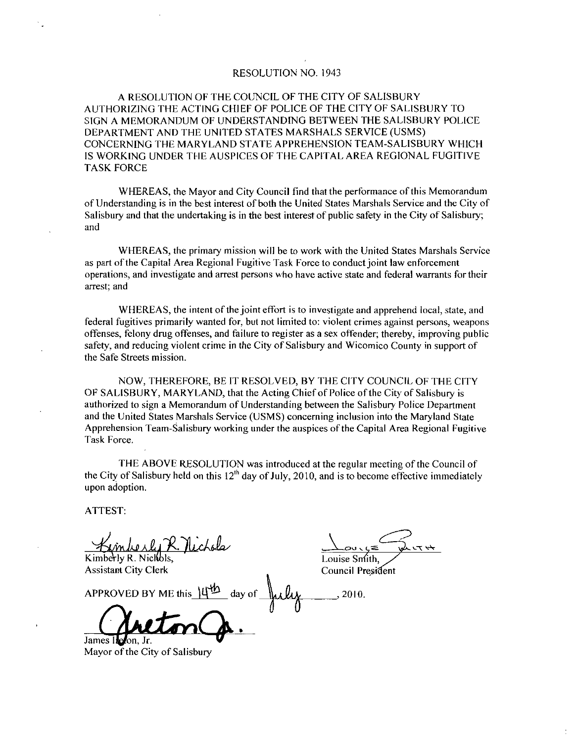### RESOLUTION NO. 1943

RESOLUTION NO. 1943<br>A RESOLUTION OF THE COUNCIL OF THE CITY OF SALISBURY<br>DRIZING THE ACTING CHIEF OF POLICE OF THE CITY OF SALIS<br>MEMORANDUM OF UNDERSTANDING BETWEEN THE SALISB AUTHORIZING THE ACTING CHIEF OF POLICE OF THE CITY OF SALISBURY TO SIGN A MEMORANDUM OF UNDERSTANDING BETWEEN THE SALISBURY POLICE RESOLUTION NO. 1943<br>A RESOLUTION OF THE COUNCIL OF THE CITY OF SALISBURY<br>AUTHORIZING THE ACTING CHIEF OF POLICE OF THE CITY OF SALISB<br>SIGN A MEMORANDUM OF UNDERSTANDING BETWEEN THE SALISBL<br>DEPARTMENT AND THE UNITED STATES DEPARTMENT AND THE UNITED STATES MARSHALS SERVICE (USMS)<br>CONCERNING THE MARYLAND STATE APPREHENSION TEAM-SALISBURY WHICH IS WORKING UNDER THE AUSPICES OF THE CAPITAL AREA REGIONAL FUGITIVE TASK FORCE

WHEREAS, the Mayor and City Council find that the performance of this Memorandum of Understanding is in the best interest of both the United States Marshals Service and the City of Salisbury and that the undertaking is in the best interest of public safety in the City of Salisbury; and

WHEREAS the primary mission will be to work with the United States Marshals Service as part of the Capital Area Regional Fugitive Task Force to conduct joint law enforcement operations and investigate and arrest persons who have active state and federal warrants for their arrest; and

WHEREAS, the intent of the joint effort is to investigate and apprehend local, state, and federal fugitives primarily wanted for, but not limited to: violent crimes against persons, weapons offenses, felony drug offenses, and failure to register as a sex offender; thereby, improving public safety, and reducing violent crime in the City of Salisbury and Wicomico County in support of the Safe Streets mission

NOW, THEREFORE, BE IT RESOLVED, BY THE CITY COUNCIL OF THE CITY OF SALISBURY, MARYLAND, that the Acting Chief of Police of the City of Salisbury is authorized to sign a Memorandum of Understanding between the Salisbury Police Department and the United States Marshals Service (USMS) concerning inclusion into the Maryland State Apprehension Team Salisbury working under the auspices ofthe Capital Area Regional Fugitive Task Force

THE ABOVE RESOLUTION was introduced at the regular meeting of the Council of the City of Salisbury held on this  $12<sup>th</sup>$  day of July, 2010, and is to become effective immediately upon adoption

ATTEST

 $\sim$   $\sim$   $\sim$  1  $\mu$ 

Kimberly R. Nichols,<br>
Assistant City Clerk<br>
Assistant City Clerk<br>
Council President Assistant City Clerk

Assistant City Clerk<br>APPROVED BY ME this  $\frac{144}{9}$  day of  $\frac{1}{4}$   $\frac{1}{4}$  2010.

James I**k**e Mayor of the City of Salisbury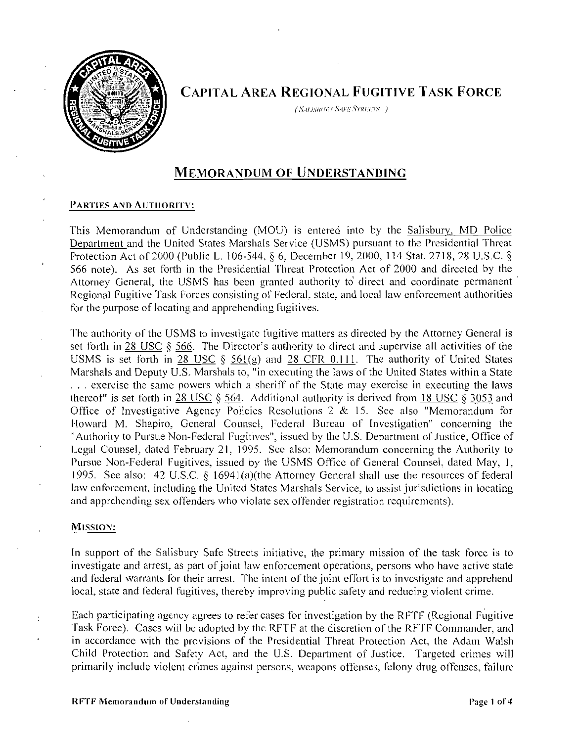

CAPITAL AREA REGIONAL FUGITIVE TASK FORCE tian<br>tianismury Sue Streets, )<br>csalismury Sue Streets, )

# MEMORANDUM OF UNDERSTANDING

This Memorandum of Understanding (MOU) is entered into by the Salisbury, MD Police Department and the United States Marshals Service (USMS) pursuant to the Presidential Threat Protection Act of 2000 (Public L. 106-544, § 6, December 19, 2000, 114 Stat. 2718, 28 U.S.C. § 566 note). As set forth in the Presidential Threat Protection Act of 2000 and directed by the Attorney General, the USMS has been granted authority to direct and coordinate permanent<br>Regional Fugitive Task Forces consisting of Federal, state, and local law enforcement authorities **MEMORANDUM OF UNDERSTANDING**<br> **PARTIES AND AUTHORITY:**<br>
This Memorandum of Understanding (MOU) is entered into by the Salisbury, MD Police<br>
<u>Department</u> and the United States Marshals Service (USMS) pursuant to the Presid for the purpose of locating and apprehending fugitives.

The authority of the USMS to investigate fugitive matters as directed by the Attorney General is set forth in 28 USC § 566. The Director's authority to direct and supervise all activities of the Regional Fugitive Task Forces consisting of Federal, state, and local law enforcement authorities<br>for the purpose of locating and apprehending fugitives.<br>The authority of the USMS to investigate fugitive matters as direct The authority of the USMS to investigate fugitive matters as directed by the Attorney General is<br>set forth in <u>28 USC</u> § 566. The Director's authority to direct and supervise all activities of the<br>USMS is set forth in 28 U Marshals and Deputy U.S. Marshals to, "in executing the laws of the United States within a State ... exercise the same powers which a sheriff of the State may exercise in executing the laws thereof" is set forth in 28 USC Office of Investigative Agency Policies Resolutions 2  $&$  15. See also "Memorandum for Howard M. Shapiro, General Counsel, Federal Bureau of Investigation" concerning the "Authority to Pursue Non-Federal Fugitives", issued by the U.S. Department of Justice, Office of Legal Counsel, dated February 21, 1995. See also: Memorandum concerning the Authority to<br>Pursue Non-Federal Fugitives, issued by the USMS Office of General Counsel, dated May, 1, thereof" is set forth in  $28 \text{ USC} \$   $\S$  564. Additional authority is derived from 18 USC  $\S$  3053 and<br>Office of Investigative Agency Policies Resolutions 2 & 15. See also "Memorandum for<br>Howard M. Shapiro, General Counsel law enforcement, including the United States Marshals Service, to assist jurisdictions in locating and apprehending sex offenders who violate sex offender registration requirements).

## MISSION:

In support of the Salisbury Safe Streets initiative, the primary mission of the task force is to In support of the sansolity safe streets initiative, the primary inission of the task force is to investigate and arrest, as part of joint law enforcement operations, persons who have active state and federal warrants for local, state and federal fugitives, thereby improving public safety and reducing violent crime.

Each participating agency agrees to refer cases for investigation by the RFTF (Regional Fugitive Task Force). Cases will be adopted by the RFTF at the discretion of the RFTF Commander, and in accordance with the provisions of the Presidential Threat Protection Act, the Adam Walsh Child Protection and Safety Act, and the U.S. Department of Justice. Targeted crimes will primarily include violent crimes against persons, weapons offenses, felony drug offenses, failure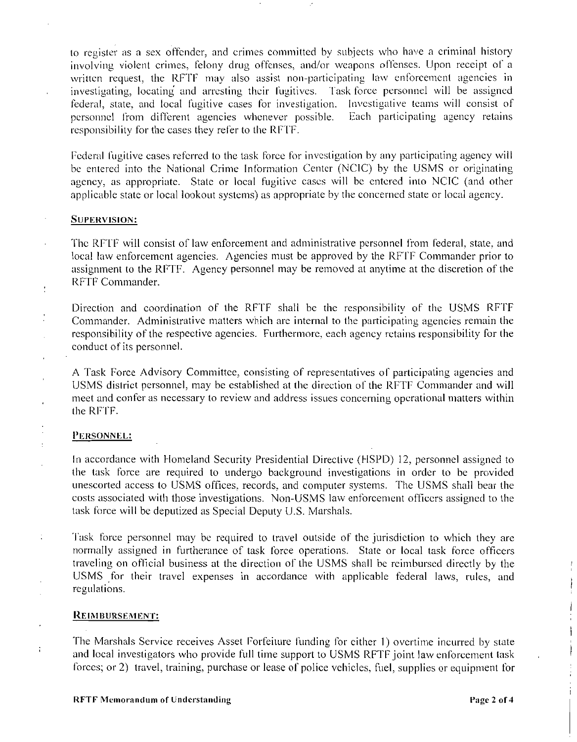to register as a sex offender, and crimes committed by subjects who have a criminal history involving violent crimes, felony drug offenses, and/or weapons offenses. Upon receipt of a involving violent crimes, felony drug offenses, and/or weapons offenses. Upon receipt of a written request, the RFTF may also assist non-participating law enforcement agencies in investigating, locating and arresting their fugitives. Task force personnel will be assigned federal, state, and local fugitive cases for investigation. Investigative teams will consist of personnel from different agencies whenever possible. Each participating agency retains personnel from different agencies whenever possible. responsibility for the cases they refer to the RFTF

Federal fugitive cases referred to the task force for investigation by any participating agency will be entered into the National Crime Information Center (NCIC) by the USMS or originating agency, as appropriate. State or local fugitive cases will be entered into NCIC (and other applicable state or local lookout systems) as appropriate by the concerned state or local agency.

## SUPERVISION:

 $\cdot$ 

 $\ddot{\phantom{a}}$ 

 $\ddot{\phantom{a}}$ 

 $\ddot{\phantom{a}}$ 

SUPERVISION:<br>
Ihe RFTF will consist of law enforcement and administrative personnel from federal, state, and<br>
local law enforcement agencies. Agencies must be approved by the RFTF Commander prior to assignment to the RFTF. Agency personnel may be removed at anytime at the discretion of the RFTF Commander The RFTF will consist of law enforcement and administrative personnel from federal, state, and local law enforcement agencies. Agencies must be approved by the RFTF Commander prior to assignment to the RFTF. Agency personn

Commander. Administrative matters which are internal to the participating agencies remain the responsibility of the respective agencies. Furthermore, each agency retains responsibility for the conduct of its personnel

A Task Force Advisory Committee, consisting of representatives of participating agencies and USMS district personnel, may be established at the direction of the RFTF Commander and will meet and confer as necessary to review and address issues concerning operational matters within<br>the RFTF. Commander<br>responsibili<br>conduct of i<br>A Task For<br>USMS disti<br>meet and cc<br>the RFTF.<br>PERSONNEI

## PERSONNEL:

In accordance with Homeland Security Presidential Directive (HSPD) 12, personnel assigned to the task force are required to undergo background investigations in order to be provided unescorted access to USMS offices, records, and computer systems. The USMS shall bear the costs associated with those investigations. Non-USMS law enforcement officers assigned to the costs associated with those investigations. Non-USMS law enforcement officers assigned to the task force will be deputized as Special Deputy U.S. Marshals. A Task Force Advis<br>USMS district perso<br>meet and confer as n<br>the RFTF.<br>PERSONNEL:<br>In accordance with 1<br>the task force are<br>unescorted access to<br>costs associated with<br>task force will be de<br>Task force personne<br>normally assigne

Task force personnel may be required to travel outside of the jurisdiction to which they are normally assigned in furtherance of task force operations. State or local task force officers traveling on official business at the direction of the USMS shall be reimbursed directly by the USMS for their travel expenses in accordance with applicable federal laws, rules, and regulations

**REIMBURSEMENT:**<br>The Marshals Service receives Asset Forfeiture funding for either 1) overtime incurred by state<br>and local investigators who provide full time support to USMS RFTF joint law enforcement task forces; or 2) travel, training, purchase or lease of police vehicles, fuel, supplies or equipment for  $\frac{1}{i}$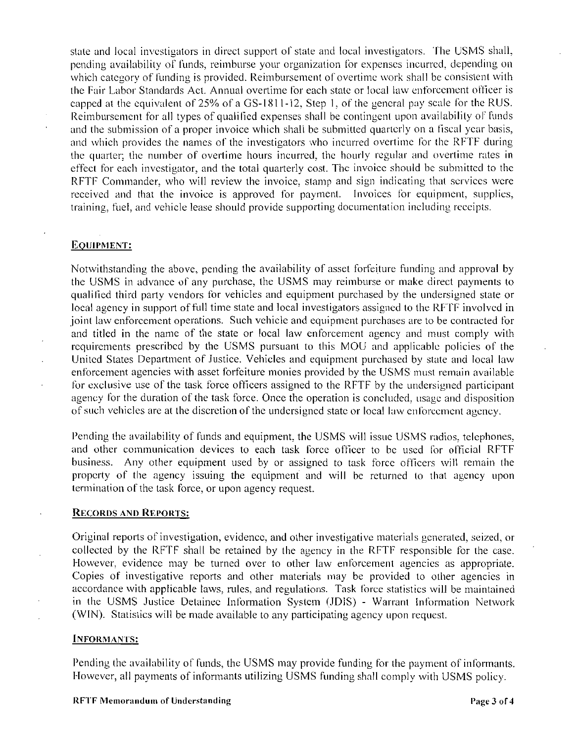state and local investigators in direct support of state and local investigators. The USMS shall, pending availability of funds, reimburse your organization for expenses incurred, depending on penalig availability of ranas, reimburse your eigenment of overtime work shall be consistent with<br>the Fair Labor Standards Act. Annual overtime for each state or local law enforcement officer is<br>capped at the equivalent of the Fair Labor Standards Act. Annual overtime for each state or local law enforcement officer is Reimbursement for all types of qualified expenses shall be contingent upon availability of funds and the submission of a proper invoice which shall be submitted quarterly on a fiscal year basis, and which provides the names of the investigators who incurred overtime for the RFTF during the quarter; the number of overtime hours incurred, the hourly regular and overtime rates in effect for each investigator, and the total quarterly cost. The invoice should be submitted to the RFTF Commander, who will review the invoice, stamp and sign indicating that services were received and that the invoice is approved for payment. Invoices for equipment, supplies, training, fuel, and vehicle lease should provide supporting documentation including receipts. the Fan Labor<br>capped at the c<br>Reimbursemen<br>and the submis<br>and which pro<br>the quarter; the<br>ffect for each<br>RFTF Comma<br>received and training, fuel, a<br>EQUIPMENT:<br>Notwithstandir<br>the USMS in a

Notwithstanding the above, pending the availability of asset forfeiture funding and approval by the USMS in advance of any purchase, the USMS may reimburse or make direct payments to qualified third party vendors for vehicles and equipment purchased by the undersigned state or local agency in support offull time state and local investigators assigned to the RFfF involved in joint law enforcement operations. Such vehicle and equipment purchases are to be contracted for and titled in the name of the state or local law enforcement agency and must comply with requirements prescribed by the USMS pursuant to this MOU and applicable policies of the United States Department of Justice. Vehicles and equipment purchased by state and local law enforcement agencies with asset forfeiture monies provided by the USMS must remain available for exclusive use of the task force officers assigned to the RFTF by the undersigned participant agency for the duration of the task force. Once the operation is concluded, usage and disposition of such vehicles are at the discretion of the undersigned state or local law enforcement agency.

Pending the availability of funds and equipment, the USMS will issue USMS radios, telephones, and other communication devices to each task force officer to be used for official RFTF business. Any other equipment used by or assigned to task force officers will remain the property of the agency issuing the equipment and will be returned to that agency upon<br>termination of the task force, or upon agency request.<br>RECORDS AND REPORTS: termination of the task force, or upon agency request.

Original reports of investigation, evidence, and other investigative materials generated, seized, or collected by the RFTF shall be retained by the agency in the RFTF responsible for the case. However, evidence may be turned over to other law enforcement agencies as appropriate. Copies of investigative reports and other materials may be provided to other agencies in accordance with applicable laws, rules, and regulations. Task force statistics will be maintained collected by the RFTF shall be retained by the agency in the RFTF responsible for the case.<br>However, evidence may be turned over to other law enforcement agencies as appropriate.<br>Copies of investigative reports and other m (WIN). Statistics will be made available to any participating agency upon request.

### INFORMANTS:

Pending the availability of funds, the USMS may provide funding for the payment of informants. However, all payments of informants utilizing USMS funding shall comply with USMS policy.<br>RFTF Memorandum of Understanding Page 3 of 4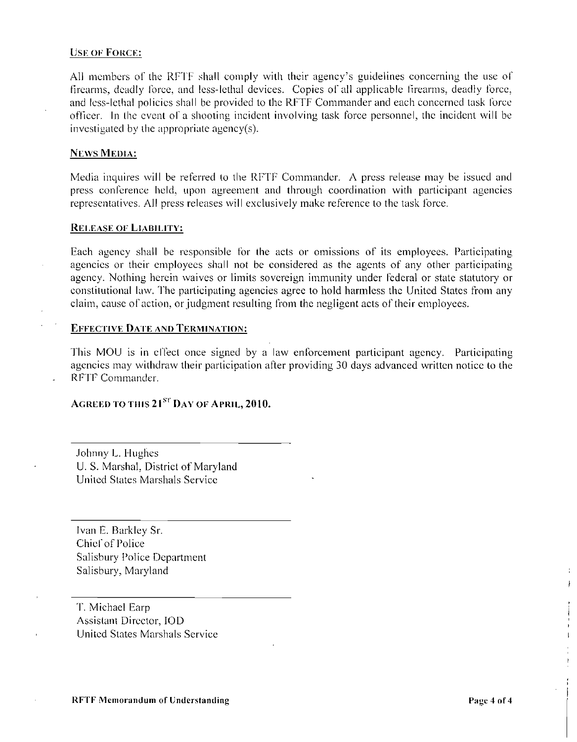## **USE OF FORCE:**

USE OF FORCE:<br>All members of the RFTF shall comply with their agency's guidelines concerning the use of<br>firearms, deadly force, and less-lethal devices. Copies of all applicable firearms, deadly force, and Icss lethal policies shall be provided to the RFTF Conunander and each concerned task force officer. In the event of a shooting incident involving task force personnel, the incident will be investigated by the appropriate agency(s). All members of the RFTF shall comply<br>firearms, deadly force, and less-lethal de<br>and less-lethal policies shall be provided to<br>officer. In the event of a shooting incide<br>investigated by the appropriate agency(s).<br>NEWS MEDIA

## **NEWS MEDIA:**

Media inquires will be referred to the RFTF Commander. A press release may be issued and press conference held, upon agreement and through coordination with participant agencies representatives. All press releases will exclusively make reference to the task force.

### RELEASE OF LIABILITY:

Each agency shall be responsible for the acts or omissions of its employees. Participating agencies or their employees shall not be considered as the agents of any other participating agency. Nothing herein waives or limits sovereign immunity under federal or state statutory or constitutional law. The participating agencies agree to hold harmless the United States from any claim, cause of action, or judgment resulting from the negligent acts of their employees. investigated by the appropriate agency(s).<br>
News MEDIA:<br>
Media inquires will be referred to the RI<br>
press conference held, upon agreement<br>
representatives. All press releases will exc<br>
RELEASE OF LIABILITY:<br>
Each agency sh

This MOU is in effect once signed by a law enforcement participant agency. Participating agencies may withdraw their participation after providing <sup>30</sup> days advanced written notice to the RFTF Commander

# AGREED TO THIS  $21^{sr}$  DAY OF APRIL,  $2010$ .

Johnny L. Hughes U. S. Marshal, District of Maryland United States Marshals Service

Ivan E. Barkley Sr. Chief of Police Salisbury Police Department Salisbury, Maryland

T. Michael Earp Assistant Director, IOD United States Marshals Service